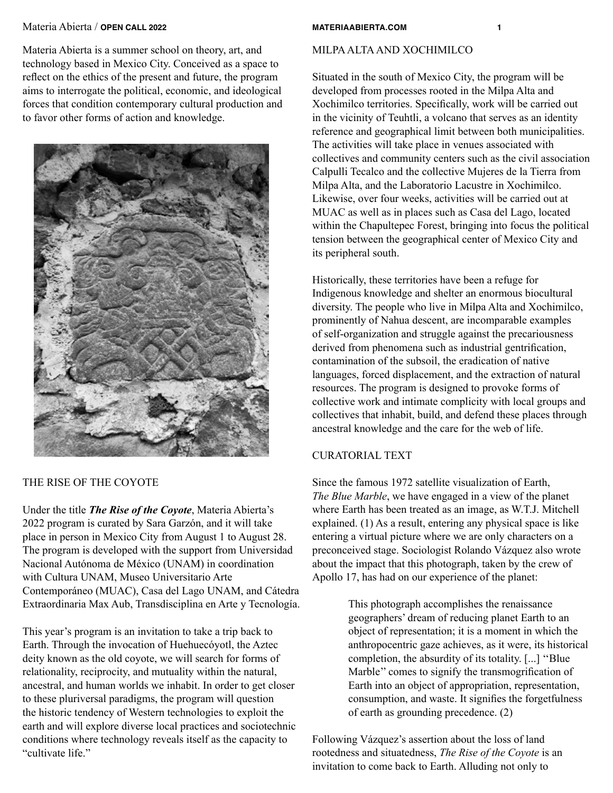Materia Abierta is a summer school on theory, art, and technology based in Mexico City. Conceived as a space to reflect on the ethics of the present and future, the program aims to interrogate the political, economic, and ideological forces that condition contemporary cultural production and to favor other forms of action and knowledge.



## THE RISE OF THE COYOTE

Under the title *The Rise of the Coyote*, Materia Abierta's 2022 program is curated by Sara Garzón, and it will take place in person in Mexico City from August 1 to August 28. The program is developed with the support from Universidad Nacional Autónoma de México (UNAM) in coordination with Cultura UNAM, Museo Universitario Arte Contemporáneo (MUAC), Casa del Lago UNAM, and Cátedra Extraordinaria Max Aub, Transdisciplina en Arte y Tecnología.

This year's program is an invitation to take a trip back to Earth. Through the invocation of Huehuecóyotl, the Aztec deity known as the old coyote, we will search for forms of relationality, reciprocity, and mutuality within the natural, ancestral, and human worlds we inhabit. In order to get closer to these pluriversal paradigms, the program will question the historic tendency of Western technologies to exploit the earth and will explore diverse local practices and sociotechnic conditions where technology reveals itself as the capacity to "cultivate life."

## MILPA ALTA AND XOCHIMILCO

Situated in the south of Mexico City, the program will be developed from processes rooted in the Milpa Alta and Xochimilco territories. Specifically, work will be carried out in the vicinity of Teuhtli, a volcano that serves as an identity reference and geographical limit between both municipalities. The activities will take place in venues associated with collectives and community centers such as the civil association Calpulli Tecalco and the collective Mujeres de la Tierra from Milpa Alta, and the Laboratorio Lacustre in Xochimilco. Likewise, over four weeks, activities will be carried out at MUAC as well as in places such as Casa del Lago, located within the Chapultepec Forest, bringing into focus the political tension between the geographical center of Mexico City and its peripheral south.

Historically, these territories have been a refuge for Indigenous knowledge and shelter an enormous biocultural diversity. The people who live in Milpa Alta and Xochimilco, prominently of Nahua descent, are incomparable examples of self-organization and struggle against the precariousness derived from phenomena such as industrial gentrification, contamination of the subsoil, the eradication of native languages, forced displacement, and the extraction of natural resources. The program is designed to provoke forms of collective work and intimate complicity with local groups and collectives that inhabit, build, and defend these places through ancestral knowledge and the care for the web of life.

## CURATORIAL TEXT

Since the famous 1972 satellite visualization of Earth, *The Blue Marble*, we have engaged in a view of the planet where Earth has been treated as an image, as W.T.J. Mitchell explained. (1) As a result, entering any physical space is like entering a virtual picture where we are only characters on a preconceived stage. Sociologist Rolando Vázquez also wrote about the impact that this photograph, taken by the crew of Apollo 17, has had on our experience of the planet:

> This photograph accomplishes the renaissance geographers' dream of reducing planet Earth to an object of representation; it is a moment in which the anthropocentric gaze achieves, as it were, its historical completion, the absurdity of its totality. [...] ''Blue Marble'' comes to signify the transmogrification of Earth into an object of appropriation, representation, consumption, and waste. It signifies the forgetfulness of earth as grounding precedence. (2)

Following Vázquez's assertion about the loss of land rootedness and situatedness, *The Rise of the Coyote* is an invitation to come back to Earth. Alluding not only to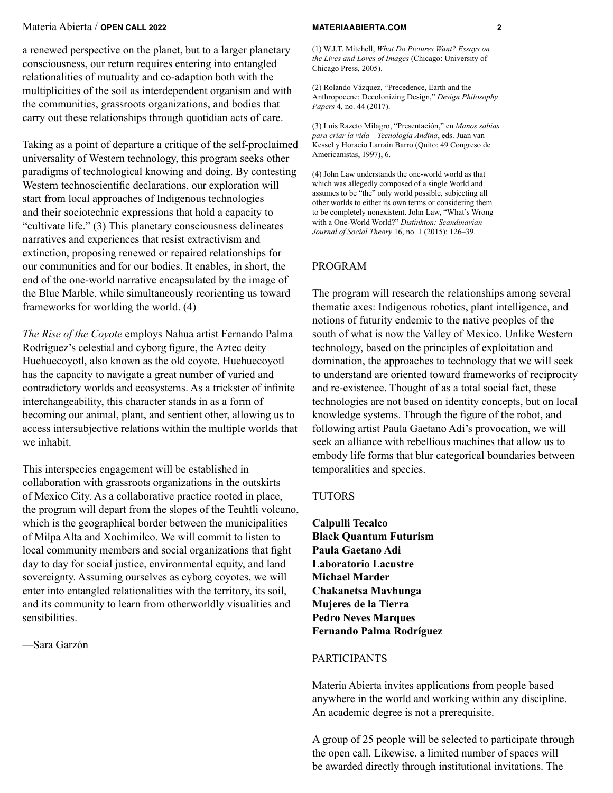a renewed perspective on the planet, but to a larger planetary consciousness, our return requires entering into entangled relationalities of mutuality and co-adaption both with the multiplicities of the soil as interdependent organism and with the communities, grassroots organizations, and bodies that carry out these relationships through quotidian acts of care.

Taking as a point of departure a critique of the self-proclaimed universality of Western technology, this program seeks other paradigms of technological knowing and doing. By contesting Western technoscientific declarations, our exploration will start from local approaches of Indigenous technologies and their sociotechnic expressions that hold a capacity to "cultivate life." (3) This planetary consciousness delineates narratives and experiences that resist extractivism and extinction, proposing renewed or repaired relationships for our communities and for our bodies. It enables, in short, the end of the one-world narrative encapsulated by the image of the Blue Marble, while simultaneously reorienting us toward frameworks for worlding the world. (4)

*The Rise of the Coyote* employs Nahua artist Fernando Palma Rodriguez's celestial and cyborg figure, the Aztec deity Huehuecoyotl, also known as the old coyote. Huehuecoyotl has the capacity to navigate a great number of varied and contradictory worlds and ecosystems. As a trickster of infinite interchangeability, this character stands in as a form of becoming our animal, plant, and sentient other, allowing us to access intersubjective relations within the multiple worlds that we inhabit.

This interspecies engagement will be established in collaboration with grassroots organizations in the outskirts of Mexico City. As a collaborative practice rooted in place, the program will depart from the slopes of the Teuhtli volcano, which is the geographical border between the municipalities of Milpa Alta and Xochimilco. We will commit to listen to local community members and social organizations that fight day to day for social justice, environmental equity, and land sovereignty. Assuming ourselves as cyborg coyotes, we will enter into entangled relationalities with the territory, its soil, and its community to learn from otherworldly visualities and sensibilities.

—Sara Garzón

(1) W.J.T. Mitchell, *What Do Pictures Want? Essays on the Lives and Loves of Images* (Chicago: University of Chicago Press, 2005).

(2) Rolando Vázquez, "Precedence, Earth and the Anthropocene: Decolonizing Design," *Design Philosophy Papers* 4, no. 44 (2017).

(3) Luis Razeto Milagro, "Presentación," en *Manos sabias para criar la vida – Tecnología Andina*, eds. Juan van Kessel y Horacio Larrain Barro (Quito: 49 Congreso de Americanistas, 1997), 6.

(4) John Law understands the one-world world as that which was allegedly composed of a single World and assumes to be "the" only world possible, subjecting all other worlds to either its own terms or considering them to be completely nonexistent. John Law, "What's Wrong with a One-World World?" *Distinkton: Scandinavian Journal of Social Theory* 16, no. 1 (2015): 126–39.

### PROGRAM

The program will research the relationships among several thematic axes: Indigenous robotics, plant intelligence, and notions of futurity endemic to the native peoples of the south of what is now the Valley of Mexico. Unlike Western technology, based on the principles of exploitation and domination, the approaches to technology that we will seek to understand are oriented toward frameworks of reciprocity and re-existence. Thought of as a total social fact, these technologies are not based on identity concepts, but on local knowledge systems. Through the figure of the robot, and following artist Paula Gaetano Adi's provocation, we will seek an alliance with rebellious machines that allow us to embody life forms that blur categorical boundaries between temporalities and species.

### **TUTORS**

**Calpulli Tecalco Black Quantum Futurism Paula Gaetano Adi Laboratorio Lacustre Michael Marder Chakanetsa Mavhunga Mujeres de la Tierra Pedro Neves Marques Fernando Palma Rodríguez**

#### PARTICIPANTS

Materia Abierta invites applications from people based anywhere in the world and working within any discipline. An academic degree is not a prerequisite.

A group of 25 people will be selected to participate through the open call. Likewise, a limited number of spaces will be awarded directly through institutional invitations. The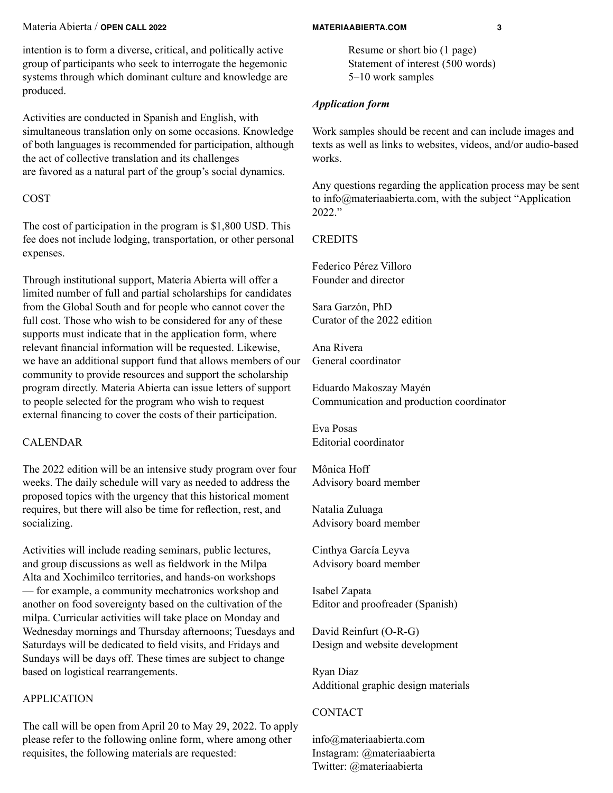intention is to form a diverse, critical, and politically active group of participants who seek to interrogate the hegemonic systems through which dominant culture and knowledge are produced.

Activities are conducted in Spanish and English, with simultaneous translation only on some occasions. Knowledge of both languages is recommended for participation, although the act of collective translation and its challenges are favored as a natural part of the group's social dynamics.

## COST

The cost of participation in the program is \$1,800 USD. This fee does not include lodging, transportation, or other personal expenses.

Through institutional support, Materia Abierta will offer a limited number of full and partial scholarships for candidates from the Global South and for people who cannot cover the full cost. Those who wish to be considered for any of these supports must indicate that in the application form, where relevant financial information will be requested. Likewise, we have an additional support fund that allows members of our community to provide resources and support the scholarship program directly. Materia Abierta can issue letters of support to people selected for the program who wish to request external financing to cover the costs of their participation.

# CALENDAR

The 2022 edition will be an intensive study program over four weeks. The daily schedule will vary as needed to address the proposed topics with the urgency that this historical moment requires, but there will also be time for reflection, rest, and socializing.

Activities will include reading seminars, public lectures, and group discussions as well as fieldwork in the Milpa Alta and Xochimilco territories, and hands-on workshops — for example, a community mechatronics workshop and another on food sovereignty based on the cultivation of the milpa. Curricular activities will take place on Monday and Wednesday mornings and Thursday afternoons; Tuesdays and Saturdays will be dedicated to field visits, and Fridays and Sundays will be days off. These times are subject to change based on logistical rearrangements.

# APPLICATION

The call will be open from April 20 to May 29, 2022. To apply please refer to the following online form, where among other requisites, the following materials are requested:

Resume or short bio (1 page) Statement of interest (500 words) 5–10 work samples

# *Application form*

Work samples should be recent and can include images and texts as well as links to websites, videos, and/or audio-based works.

Any questions regarding the application process may be sent to info@materiaabierta.com, with the subject "Application 2022."

# **CREDITS**

Federico Pérez Villoro Founder and director

Sara Garzón, PhD Curator of the 2022 edition

Ana Rivera General coordinator

Eduardo Makoszay Mayén Communication and production coordinator

Eva Posas Editorial coordinator

Mônica Hoff Advisory board member

Natalia Zuluaga Advisory board member

Cinthya García Leyva Advisory board member

Isabel Zapata Editor and proofreader (Spanish)

David Reinfurt (O-R-G) Design and website development

Ryan Diaz Additional graphic design materials

# CONTACT

info@materiaabierta.com Instagram: @materiaabierta Twitter: @materiaabierta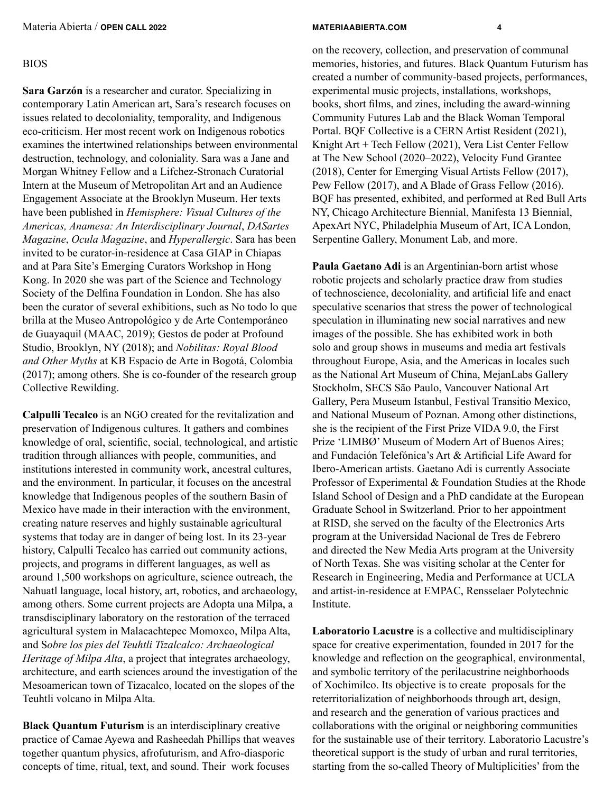## BIOS

**Sara Garzón** is a researcher and curator. Specializing in contemporary Latin American art, Sara's research focuses on issues related to decoloniality, temporality, and Indigenous eco-criticism. Her most recent work on Indigenous robotics examines the intertwined relationships between environmental destruction, technology, and coloniality. Sara was a Jane and Morgan Whitney Fellow and a Lifchez-Stronach Curatorial Intern at the Museum of Metropolitan Art and an Audience Engagement Associate at the Brooklyn Museum. Her texts have been published in *Hemisphere: Visual Cultures of the Americas, Anamesa: An Interdisciplinary Journal*, *DASartes Magazine*, *Ocula Magazine*, and *Hyperallergic*. Sara has been invited to be curator-in-residence at Casa GIAP in Chiapas and at Para Site's Emerging Curators Workshop in Hong Kong. In 2020 she was part of the Science and Technology Society of the Delfina Foundation in London. She has also been the curator of several exhibitions, such as No todo lo que brilla at the Museo Antropológico y de Arte Contemporáneo de Guayaquil (MAAC, 2019); Gestos de poder at Profound Studio, Brooklyn, NY (2018); and *Nobilitas: Royal Blood and Other Myths* at KB Espacio de Arte in Bogotá, Colombia (2017); among others. She is co-founder of the research group Collective Rewilding.

**Calpulli Tecalco** is an NGO created for the revitalization and preservation of Indigenous cultures. It gathers and combines knowledge of oral, scientific, social, technological, and artistic tradition through alliances with people, communities, and institutions interested in community work, ancestral cultures, and the environment. In particular, it focuses on the ancestral knowledge that Indigenous peoples of the southern Basin of Mexico have made in their interaction with the environment, creating nature reserves and highly sustainable agricultural systems that today are in danger of being lost. In its 23-year history, Calpulli Tecalco has carried out community actions, projects, and programs in different languages, as well as around 1,500 workshops on agriculture, science outreach, the Nahuatl language, local history, art, robotics, and archaeology, among others. Some current projects are Adopta una Milpa, a transdisciplinary laboratory on the restoration of the terraced agricultural system in Malacachtepec Momoxco, Milpa Alta, and S*obre los pies del Teuhtli Tizalcalco: Archaeological Heritage of Milpa Alta*, a project that integrates archaeology, architecture, and earth sciences around the investigation of the Mesoamerican town of Tizacalco, located on the slopes of the Teuhtli volcano in Milpa Alta.

**Black Quantum Futurism** is an interdisciplinary creative practice of Camae Ayewa and Rasheedah Phillips that weaves together quantum physics, afrofuturism, and Afro-diasporic concepts of time, ritual, text, and sound. Their work focuses

on the recovery, collection, and preservation of communal memories, histories, and futures. Black Quantum Futurism has created a number of community-based projects, performances, experimental music projects, installations, workshops, books, short films, and zines, including the award-winning Community Futures Lab and the Black Woman Temporal Portal. BQF Collective is a CERN Artist Resident (2021), Knight Art + Tech Fellow (2021), Vera List Center Fellow at The New School (2020–2022), Velocity Fund Grantee (2018), Center for Emerging Visual Artists Fellow (2017), Pew Fellow (2017), and A Blade of Grass Fellow (2016). BQF has presented, exhibited, and performed at Red Bull Arts NY, Chicago Architecture Biennial, Manifesta 13 Biennial, ApexArt NYC, Philadelphia Museum of Art, ICA London, Serpentine Gallery, Monument Lab, and more.

**Paula Gaetano Adi** is an Argentinian-born artist whose robotic projects and scholarly practice draw from studies of technoscience, decoloniality, and artificial life and enact speculative scenarios that stress the power of technological speculation in illuminating new social narratives and new images of the possible. She has exhibited work in both solo and group shows in museums and media art festivals throughout Europe, Asia, and the Americas in locales such as the National Art Museum of China, MejanLabs Gallery Stockholm, SECS São Paulo, Vancouver National Art Gallery, Pera Museum Istanbul, Festival Transitio Mexico, and National Museum of Poznan. Among other distinctions, she is the recipient of the First Prize VIDA 9.0, the First Prize 'LIMBØ' Museum of Modern Art of Buenos Aires; and Fundación Telefónica's Art & Artificial Life Award for Ibero-American artists. Gaetano Adi is currently Associate Professor of Experimental & Foundation Studies at the Rhode Island School of Design and a PhD candidate at the European Graduate School in Switzerland. Prior to her appointment at RISD, she served on the faculty of the Electronics Arts program at the Universidad Nacional de Tres de Febrero and directed the New Media Arts program at the University of North Texas. She was visiting scholar at the Center for Research in Engineering, Media and Performance at UCLA and artist-in-residence at EMPAC, Rensselaer Polytechnic Institute.

**Laboratorio Lacustre** is a collective and multidisciplinary space for creative experimentation, founded in 2017 for the knowledge and reflection on the geographical, environmental, and symbolic territory of the perilacustrine neighborhoods of Xochimilco. Its objective is to create proposals for the reterritorialization of neighborhoods through art, design, and research and the generation of various practices and collaborations with the original or neighboring communities for the sustainable use of their territory. Laboratorio Lacustre's theoretical support is the study of urban and rural territories, starting from the so-called Theory of Multiplicities' from the